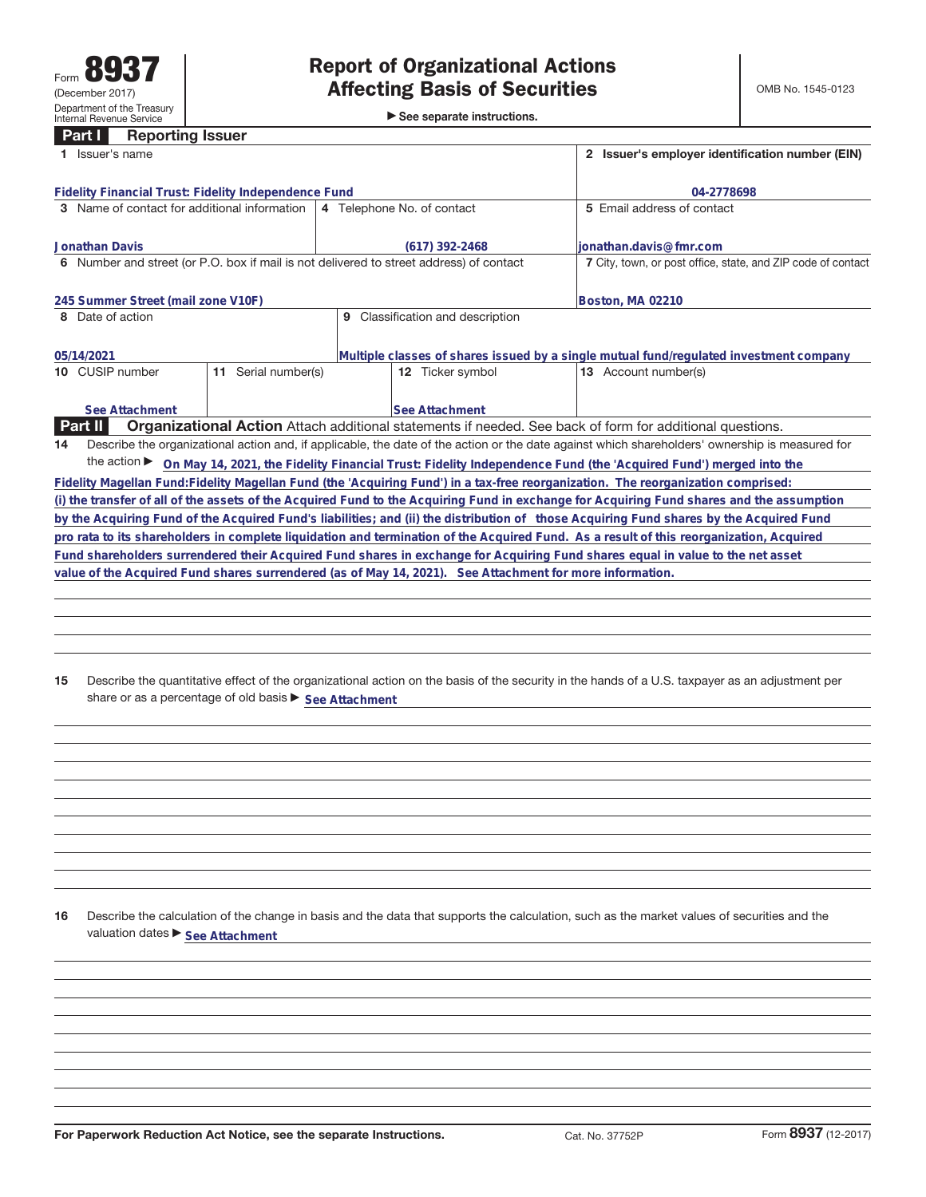|  |  | See separate instructions. |
|--|--|----------------------------|
|--|--|----------------------------|

| Part I<br><b>Reporting issuer</b><br>1 Issuer's name                                                     |                        |                            |                       |                                                              | 2 Issuer's employer identification number (EIN)                                                                                                 |  |  |  |
|----------------------------------------------------------------------------------------------------------|------------------------|----------------------------|-----------------------|--------------------------------------------------------------|-------------------------------------------------------------------------------------------------------------------------------------------------|--|--|--|
| <b>Fidelity Financial Trust: Fidelity Independence Fund</b>                                              |                        |                            |                       |                                                              | 04-2778698                                                                                                                                      |  |  |  |
| 3 Name of contact for additional information                                                             |                        | 4 Telephone No. of contact |                       |                                                              | 5 Email address of contact                                                                                                                      |  |  |  |
| <b>Jonathan Davis</b>                                                                                    |                        |                            | (617) 392-2468        |                                                              | lionathan.davis@fmr.com                                                                                                                         |  |  |  |
| 6 Number and street (or P.O. box if mail is not delivered to street address) of contact                  |                        |                            |                       | 7 City, town, or post office, state, and ZIP code of contact |                                                                                                                                                 |  |  |  |
| 245 Summer Street (mail zone V10F)                                                                       |                        |                            |                       |                                                              | Boston, MA 02210                                                                                                                                |  |  |  |
| Date of action<br>Classification and description<br>9<br>8                                               |                        |                            |                       |                                                              |                                                                                                                                                 |  |  |  |
| 05/14/2021                                                                                               |                        |                            |                       |                                                              | Multiple classes of shares issued by a single mutual fund/regulated investment company                                                          |  |  |  |
| 10 CUSIP number                                                                                          | Serial number(s)<br>11 |                            | 12 Ticker symbol      |                                                              | 13 Account number(s)                                                                                                                            |  |  |  |
| See Attachment                                                                                           |                        |                            | <b>See Attachment</b> |                                                              |                                                                                                                                                 |  |  |  |
| <b>Part II</b>                                                                                           |                        |                            |                       |                                                              | Organizational Action Attach additional statements if needed. See back of form for additional questions.                                        |  |  |  |
| 14                                                                                                       |                        |                            |                       |                                                              | Describe the organizational action and, if applicable, the date of the action or the date against which shareholders' ownership is measured for |  |  |  |
|                                                                                                          |                        |                            |                       |                                                              | the action > On May 14, 2021, the Fidelity Financial Trust: Fidelity Independence Fund (the 'Acquired Fund') merged into the                    |  |  |  |
|                                                                                                          |                        |                            |                       |                                                              | Fidelity Magellan Fund: Fidelity Magellan Fund (the 'Acquiring Fund') in a tax-free reorganization. The reorganization comprised:               |  |  |  |
|                                                                                                          |                        |                            |                       |                                                              | (i) the transfer of all of the assets of the Acquired Fund to the Acquiring Fund in exchange for Acquiring Fund shares and the assumption       |  |  |  |
|                                                                                                          |                        |                            |                       |                                                              | by the Acquiring Fund of the Acquired Fund's liabilities; and (ii) the distribution of those Acquiring Fund shares by the Acquired Fund         |  |  |  |
|                                                                                                          |                        |                            |                       |                                                              | pro rata to its shareholders in complete liquidation and termination of the Acquired Fund. As a result of this reorganization, Acquired         |  |  |  |
|                                                                                                          |                        |                            |                       |                                                              | Fund shareholders surrendered their Acquired Fund shares in exchange for Acquiring Fund shares equal in value to the net asset                  |  |  |  |
| value of the Acquired Fund shares surrendered (as of May 14, 2021). See Attachment for more information. |                        |                            |                       |                                                              |                                                                                                                                                 |  |  |  |
|                                                                                                          |                        |                            |                       |                                                              |                                                                                                                                                 |  |  |  |
|                                                                                                          |                        |                            |                       |                                                              |                                                                                                                                                 |  |  |  |

**15** Describe the quantitative effect of the organizational action on the basis of the security in the hands of a U.S. taxpayer as an adjustment per share or as a percentage of old basis  $\blacktriangleright$  See Attachment

**16** Describe the calculation of the change in basis and the data that supports the calculation, such as the market values of securities and the valuation dates  $\blacktriangleright$  **See Attachment**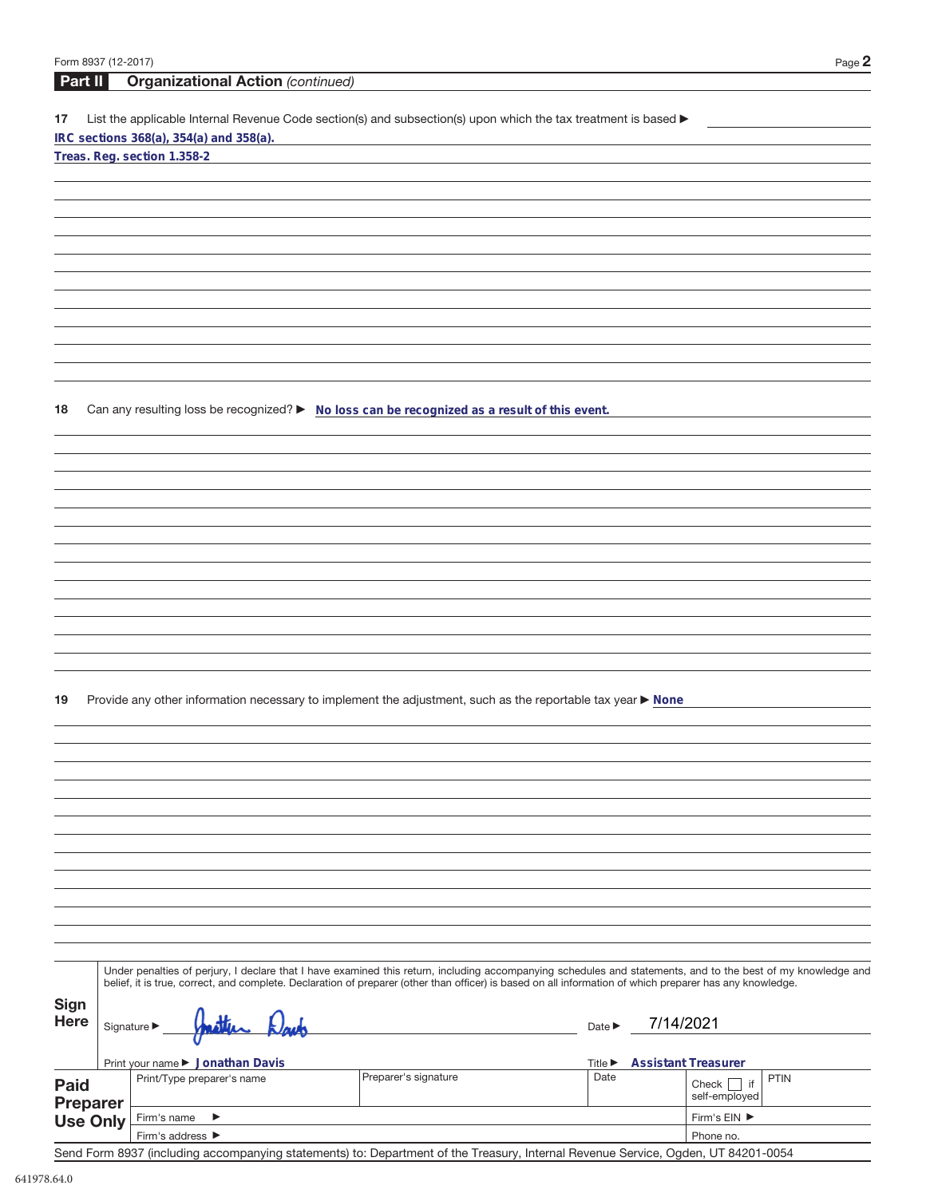| Form 8937 (12-2017) |                                                                                                                                                          |                      |                             | Page 2                                                                                                                                                       |
|---------------------|----------------------------------------------------------------------------------------------------------------------------------------------------------|----------------------|-----------------------------|--------------------------------------------------------------------------------------------------------------------------------------------------------------|
| Part II             | <b>Organizational Action (continued)</b>                                                                                                                 |                      |                             |                                                                                                                                                              |
| 17                  | List the applicable Internal Revenue Code section(s) and subsection(s) upon which the tax treatment is based ▶                                           |                      |                             |                                                                                                                                                              |
|                     | IRC sections 368(a), 354(a) and 358(a).                                                                                                                  |                      |                             |                                                                                                                                                              |
|                     | Treas. Reg. section 1.358-2                                                                                                                              |                      |                             |                                                                                                                                                              |
|                     |                                                                                                                                                          |                      |                             |                                                                                                                                                              |
|                     |                                                                                                                                                          |                      |                             |                                                                                                                                                              |
|                     |                                                                                                                                                          |                      |                             |                                                                                                                                                              |
|                     |                                                                                                                                                          |                      |                             |                                                                                                                                                              |
|                     |                                                                                                                                                          |                      |                             |                                                                                                                                                              |
|                     |                                                                                                                                                          |                      |                             |                                                                                                                                                              |
|                     |                                                                                                                                                          |                      |                             |                                                                                                                                                              |
|                     |                                                                                                                                                          |                      |                             |                                                                                                                                                              |
|                     |                                                                                                                                                          |                      |                             |                                                                                                                                                              |
|                     |                                                                                                                                                          |                      |                             |                                                                                                                                                              |
|                     |                                                                                                                                                          |                      |                             |                                                                                                                                                              |
| 18                  | Can any resulting loss be recognized? ► No loss can be recognized as a result of this event.                                                             |                      |                             |                                                                                                                                                              |
|                     |                                                                                                                                                          |                      |                             |                                                                                                                                                              |
|                     |                                                                                                                                                          |                      |                             |                                                                                                                                                              |
|                     |                                                                                                                                                          |                      |                             |                                                                                                                                                              |
|                     |                                                                                                                                                          |                      |                             |                                                                                                                                                              |
|                     |                                                                                                                                                          |                      |                             |                                                                                                                                                              |
|                     |                                                                                                                                                          |                      |                             |                                                                                                                                                              |
|                     |                                                                                                                                                          |                      |                             |                                                                                                                                                              |
|                     |                                                                                                                                                          |                      |                             |                                                                                                                                                              |
|                     |                                                                                                                                                          |                      |                             |                                                                                                                                                              |
|                     |                                                                                                                                                          |                      |                             |                                                                                                                                                              |
|                     |                                                                                                                                                          |                      |                             |                                                                                                                                                              |
|                     |                                                                                                                                                          |                      |                             |                                                                                                                                                              |
| 19                  | Provide any other information necessary to implement the adjustment, such as the reportable tax year ▶ None                                              |                      |                             |                                                                                                                                                              |
|                     |                                                                                                                                                          |                      |                             |                                                                                                                                                              |
|                     |                                                                                                                                                          |                      |                             |                                                                                                                                                              |
|                     |                                                                                                                                                          |                      |                             |                                                                                                                                                              |
|                     |                                                                                                                                                          |                      |                             |                                                                                                                                                              |
|                     |                                                                                                                                                          |                      |                             |                                                                                                                                                              |
|                     |                                                                                                                                                          |                      |                             |                                                                                                                                                              |
|                     |                                                                                                                                                          |                      |                             |                                                                                                                                                              |
|                     |                                                                                                                                                          |                      |                             |                                                                                                                                                              |
|                     |                                                                                                                                                          |                      |                             |                                                                                                                                                              |
|                     |                                                                                                                                                          |                      |                             |                                                                                                                                                              |
|                     |                                                                                                                                                          |                      |                             |                                                                                                                                                              |
|                     |                                                                                                                                                          |                      |                             | Under penalties of perjury, I declare that I have examined this return, including accompanying schedules and statements, and to the best of my knowledge and |
|                     | belief, it is true, correct, and complete. Declaration of preparer (other than officer) is based on all information of which preparer has any knowledge. |                      |                             |                                                                                                                                                              |
| <b>Sign</b>         |                                                                                                                                                          |                      |                             |                                                                                                                                                              |
| <b>Here</b>         | Signature $\blacktriangleright$                                                                                                                          |                      | Date $\blacktriangleright$  | 7/14/2021                                                                                                                                                    |
|                     | Print your name ▶ Jonathan Davis                                                                                                                         |                      | Title $\blacktriangleright$ | <b>Assistant Treasurer</b>                                                                                                                                   |
| <b>Paid</b>         | Print/Type preparer's name                                                                                                                               | Preparer's signature | Date                        | <b>PTIN</b><br>Check $\Box$ if                                                                                                                               |
| <b>Preparer</b>     |                                                                                                                                                          |                      |                             | self-employed                                                                                                                                                |
| <b>Use Only</b>     | Firm's name<br>▶                                                                                                                                         |                      |                             | Firm's EIN ▶                                                                                                                                                 |
|                     | Firm's address ▶                                                                                                                                         |                      |                             | Phone no.                                                                                                                                                    |

Send Form 8937 (including accompanying statements) to: Department of the Treasury, Internal Revenue Service, Ogden, UT 84201-0054